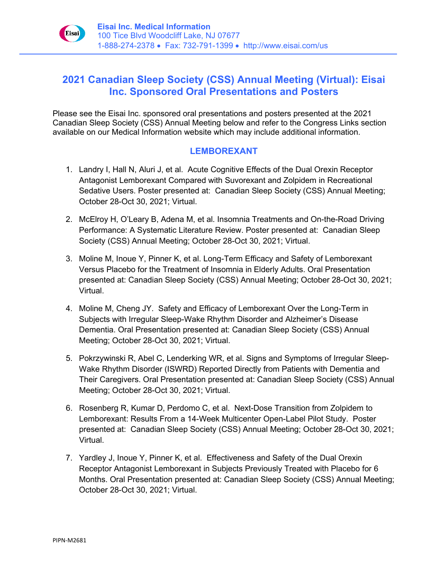

## **2021 Canadian Sleep Society (CSS) Annual Meeting (Virtual): Eisai Inc. Sponsored Oral Presentations and Posters**

Please see the Eisai Inc. sponsored oral presentations and posters presented at the 2021 Canadian Sleep Society (CSS) Annual Meeting below and refer to the Congress Links section available on our Medical Information website which may include additional information.

## **LEMBOREXANT**

- 1. Landry I, Hall N, Aluri J, et al. Acute Cognitive Effects of the Dual Orexin Receptor Antagonist Lemborexant Compared with Suvorexant and Zolpidem in Recreational Sedative Users. Poster presented at: Canadian Sleep Society (CSS) Annual Meeting; October 28-Oct 30, 2021; Virtual.
- 2. McElroy H, O'Leary B, Adena M, et al. Insomnia Treatments and On-the-Road Driving Performance: A Systematic Literature Review. Poster presented at: Canadian Sleep Society (CSS) Annual Meeting; October 28-Oct 30, 2021; Virtual.
- 3. Moline M, Inoue Y, Pinner K, et al. Long-Term Efficacy and Safety of Lemborexant Versus Placebo for the Treatment of Insomnia in Elderly Adults. Oral Presentation presented at: Canadian Sleep Society (CSS) Annual Meeting; October 28-Oct 30, 2021; Virtual.
- 4. Moline M, Cheng JY. Safety and Efficacy of Lemborexant Over the Long-Term in Subjects with Irregular Sleep-Wake Rhythm Disorder and Alzheimer's Disease Dementia. Oral Presentation presented at: Canadian Sleep Society (CSS) Annual Meeting; October 28-Oct 30, 2021; Virtual.
- 5. Pokrzywinski R, Abel C, Lenderking WR, et al. Signs and Symptoms of Irregular Sleep-Wake Rhythm Disorder (ISWRD) Reported Directly from Patients with Dementia and Their Caregivers. Oral Presentation presented at: Canadian Sleep Society (CSS) Annual Meeting; October 28-Oct 30, 2021; Virtual.
- 6. Rosenberg R, Kumar D, Perdomo C, et al. Next-Dose Transition from Zolpidem to Lemborexant: Results From a 14-Week Multicenter Open-Label Pilot Study. Poster presented at: Canadian Sleep Society (CSS) Annual Meeting; October 28-Oct 30, 2021; Virtual.
- 7. Yardley J, Inoue Y, Pinner K, et al. Effectiveness and Safety of the Dual Orexin Receptor Antagonist Lemborexant in Subjects Previously Treated with Placebo for 6 Months. Oral Presentation presented at: Canadian Sleep Society (CSS) Annual Meeting; October 28-Oct 30, 2021; Virtual.